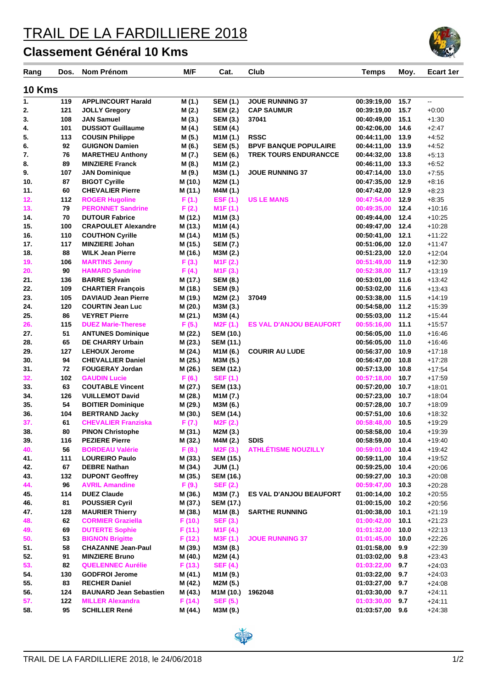## TRAIL DE LA FARDILLIERE 2018

## **Classement Général 10 Kms**

| Rang          | Dos. | Nom Prénom                    | M/F     | Cat.                  | Club                           | <b>Temps</b> | Moy. | <b>Ecart 1er</b> |
|---------------|------|-------------------------------|---------|-----------------------|--------------------------------|--------------|------|------------------|
| <b>10 Kms</b> |      |                               |         |                       |                                |              |      |                  |
| 1.            | 119  | <b>APPLINCOURT Harald</b>     | M (1.)  | <b>SEM (1.)</b>       | <b>JOUE RUNNING 37</b>         | 00:39:19,00  | 15.7 | Щ,               |
| 2.            | 121  | <b>JOLLY Gregory</b>          | M (2.)  | <b>SEM (2.)</b>       | <b>CAP SAUMUR</b>              | 00:39:19.00  | 15.7 | $+0:00$          |
| 3.            | 108  | <b>JAN Samuel</b>             | M (3.)  | <b>SEM (3.)</b>       | 37041                          | 00:40:49,00  | 15.1 | $+1:30$          |
| 4.            | 101  | <b>DUSSIOT Guillaume</b>      | M (4.)  | <b>SEM (4.)</b>       |                                | 00:42:06,00  | 14.6 | $+2:47$          |
| 5.            | 113  | <b>COUSIN Philippe</b>        | M (5.)  | M1M (1.)              | <b>RSSC</b>                    | 00:44:11,00  | 13.9 | $+4.52$          |
| 6.            | 92   | <b>GUIGNON Damien</b>         | M (6.)  | <b>SEM (5.)</b>       | <b>BPVF BANQUE POPULAIRE</b>   | 00:44:11,00  | 13.9 | $+4.52$          |
| 7.            | 76   | <b>MARETHEU Anthony</b>       | M (7.)  | <b>SEM (6.)</b>       | <b>TREK TOURS ENDURANCCE</b>   | 00:44:32,00  | 13.8 | $+5:13$          |
| 8.            | 89   | <b>MINZIERE Franck</b>        | M (8.)  | M1M (2.)              |                                | 00:46:11,00  | 13.3 | $+6.52$          |
| 9.            | 107  | <b>JAN Dominique</b>          | M (9.)  | M3M (1.)              | <b>JOUE RUNNING 37</b>         | 00:47:14.00  | 13.0 | $+7:55$          |
| 10.           | 87   | <b>BIGOT Cyrille</b>          | M (10.) | M2M (1.)              |                                | 00:47:35,00  | 12.9 | $+8:16$          |
| 11.           | 60   | <b>CHEVALIER Pierre</b>       | M (11.) | M4M (1.)              |                                | 00:47:42,00  | 12.9 | $+8:23$          |
| 12.           | 112  | <b>ROGER Hugoline</b>         | F(1.)   | EST(1.)               | <b>US LE MANS</b>              | 00:47:54,00  | 12.9 | $+8:35$          |
| 13.           | 79   | <b>PERONNET Sandrine</b>      | F(2.)   | M <sub>1</sub> F(1.)  |                                | 00:49:35,00  | 12.4 | $+10:16$         |
| 14.           | 70   | <b>DUTOUR Fabrice</b>         | M (12.) | M1M (3.)              |                                | 00:49:44,00  | 12.4 | $+10:25$         |
| 15.           | 100  | <b>CRAPOULET Alexandre</b>    | M (13.) | M1M (4.)              |                                | 00:49:47,00  | 12.4 | +10:28           |
| 16.           | 110  | <b>COUTHON Cyrille</b>        | M (14.) | M1M (5.)              |                                | 00:50:41,00  | 12.1 | $+11:22$         |
| 17.           | 117  | <b>MINZIERE Johan</b>         | M (15.) | <b>SEM (7.)</b>       |                                | 00:51:06,00  | 12.0 | $+11:47$         |
| 18.           | 88   | <b>WILK Jean Pierre</b>       | M (16.) | M3M (2.)              |                                | 00:51:23,00  | 12.0 | $+12:04$         |
| 19.           | 106  | <b>MARTINS Jenny</b>          | F(3.)   | M <sub>1</sub> F(2.)  |                                | 00:51:49,00  | 11.9 | $+12:30$         |
| 20.           | 90   | <b>HAMARD Sandrine</b>        | F(4.)   | M <sub>1</sub> F(3.)  |                                | 00:52:38,00  | 11.7 | $+13:19$         |
| 21.           | 136  | <b>BARRE Sylvain</b>          | M (17.) | <b>SEM (8.)</b>       |                                | 00:53:01,00  | 11.6 | $+13:42$         |
| 22.           | 109  | <b>CHARTIER François</b>      | M (18.) | <b>SEM (9.)</b>       |                                | 00:53:02,00  | 11.6 | $+13:43$         |
| 23.           | 105  | <b>DAVIAUD Jean Pierre</b>    | M (19.) | M2M (2.)              | 37049                          | 00:53:38,00  | 11.5 | $+14:19$         |
| 24.           | 120  | <b>COURTIN Jean Luc</b>       | M (20.) | M3M (3.)              |                                | 00:54:58,00  | 11.2 | $+15:39$         |
| 25.           | 86   | <b>VEYRET Pierre</b>          | M (21.) | M3M (4.)              |                                | 00:55:03,00  | 11.2 | $+15.44$         |
| 26.           | 115  | <b>DUEZ Marie-Therese</b>     | F(5.)   | M <sub>2</sub> F (1.) | <b>ES VAL D'ANJOU BEAUFORT</b> | 00:55:16,00  | 11.1 | +15:57           |
| 27.           | 51   | <b>ANTUNES Dominique</b>      | M (22.) | <b>SEM (10.)</b>      |                                | 00:56:05,00  | 11.0 | +16:46           |
| 28.           | 65   | <b>DE CHARRY Urbain</b>       | M (23.) | <b>SEM (11.)</b>      |                                | 00:56:05,00  | 11.0 | $+16.46$         |
| 29.           | 127  | <b>LEHOUX Jerome</b>          | M (24.) | M1M (6.)              | <b>COURIR AU LUDE</b>          | 00:56:37,00  | 10.9 | $+17:18$         |
| 30.           | 94   | <b>CHEVALLIER Daniel</b>      | M (25.) | M3M (5.)              |                                | 00:56:47,00  | 10.8 | $+17:28$         |
| 31.           | 72   | <b>FOUGERAY Jordan</b>        | M (26.) | <b>SEM (12.)</b>      |                                | 00:57:13,00  | 10.8 | $+17:54$         |
| 32.           | 102  | <b>GAUDIN Lucie</b>           | F(6.)   | <b>SEF (1.)</b>       |                                | 00:57:18,00  | 10.7 | $+17:59$         |
| 33.           | 63   | <b>COUTABLE Vincent</b>       | M (27.) | <b>SEM (13.)</b>      |                                | 00:57:20.00  | 10.7 | $+18:01$         |
| 34.           | 126  | <b>VUILLEMOT David</b>        | M (28.) | M1M (7.)              |                                | 00:57:23,00  | 10.7 | +18:04           |
| 35.           | 54   | <b>BOITIER Dominique</b>      | M (29.) | M3M (6.)              |                                | 00:57:28,00  | 10.7 | $+18:09$         |
| 36.           | 104  | <b>BERTRAND Jacky</b>         | M (30.) | SEM (14.)             |                                | 00:57:51,00  | 10.6 | $+18:32$         |
| 37.           | 61   | <b>CHEVALIER Franziska</b>    | F(7.)   | M2F (2.)              |                                | 00:58:48,00  | 10.5 | $+19.29$         |
| 38.           | 80   | <b>PINON Christophe</b>       | M (31.) | M2M (3.)              |                                | 00:58:58,00  | 10.4 | $+19.39$         |
| 39.           | 116  | <b>PEZIERE Pierre</b>         | M (32.) | M4M (2.)              | <b>SDIS</b>                    | 00:58:59.00  | 10.4 | +19:40           |
| 40.           | 56   | <b>BORDEAU Valérie</b>        | F(8.)   | M2F (3.)              | <b>ATHLÉTISME NOUZILLY</b>     | 00:59:01,00  | 10.4 | $+19.42$         |
| 41.           | 111  | <b>LOUREIRO Paulo</b>         | M (33.) | <b>SEM (15.)</b>      |                                | 00:59:11,00  | 10.4 | $+19:52$         |
| 42.           | 67   | <b>DEBRE Nathan</b>           | M (34.) | JUM (1.)              |                                | 00:59:25,00  | 10.4 | $+20.06$         |
| 43.           | 132  | <b>DUPONT Geoffrey</b>        | M (35.) | SEM (16.)             |                                | 00:59:27,00  | 10.3 | +20:08           |
| 44.           | 96   | <b>AVRIL Amandine</b>         | F (9.)  | <b>SEF (2.)</b>       |                                | 00:59:47,00  | 10.3 | $+20:28$         |
| 45.           | 114  | <b>DUEZ Claude</b>            | M (36.) | M3M (7.)              | <b>ES VAL D'ANJOU BEAUFORT</b> | 01:00:14,00  | 10.2 | $+20.55$         |
| 46.           | 81   | <b>POUSSIER Cyril</b>         | M (37.) | <b>SEM (17.)</b>      |                                | 01:00:15,00  | 10.2 | $+20:56$         |
| 47.           | 128  | <b>MAURIER Thierry</b>        | M (38.) | M1M (8.)              | <b>SARTHE RUNNING</b>          | 01:00:38.00  | 10.1 | $+21:19$         |
| 48.           | 62   | <b>CORMIER Graziella</b>      | F(10.)  | <b>SEF (3.)</b>       |                                | 01:00:42,00  | 10.1 | $+21:23$         |
| 49.           | 69   | <b>DUTERTE Sophie</b>         | F (11.) | M1F(4.)               |                                | 01:01:32,00  | 10.0 | $+22:13$         |
| 50.           | 53   | <b>BIGNON Brigitte</b>        | F (12.) | M3F (1.)              | <b>JOUE RUNNING 37</b>         | 01:01:45,00  | 10.0 | $+22:26$         |
| 51.           | 58   | <b>CHAZANNE Jean-Paul</b>     | M (39.) | M3M (8.)              |                                | 01:01:58,00  | 9.9  | $+22:39$         |
| 52.           | 91   | <b>MINZIERE Bruno</b>         | M (40.) | M2M (4.)              |                                | 01:03:02,00  | 9.8  | $+23:43$         |
| 53.           | 82   | <b>QUELENNEC Aurélie</b>      | F (13.) | <b>SEF (4.)</b>       |                                | 01:03:22,00  | 9.7  | $+24.03$         |
| 54.           | 130  | <b>GODFROI Jerome</b>         | M (41.) | M1M (9.)              |                                | 01:03:22,00  | 9.7  | $+24.03$         |
| 55.           | 83   | <b>RECHER Daniel</b>          | M (42.) | M2M (5.)              |                                | 01:03:27,00  | 9.7  | $+24:08$         |
| 56.           | 124  | <b>BAUNARD Jean Sebastien</b> | M (43.) | M1M (10.)             | 1962048                        | 01:03:30,00  | 9.7  | $+24:11$         |
| 57.           | 122  | <b>MILLER Alexandra</b>       | F(14.)  | <b>SEF (5.)</b>       |                                | 01:03:30,00  | 9.7  | $+24:11$         |
| 58.           | 95   | <b>SCHILLER René</b>          | M (44.) | M3M (9.)              |                                | 01:03:57,00  | 9.6  | $+24:38$         |
|               |      |                               |         |                       |                                |              |      |                  |